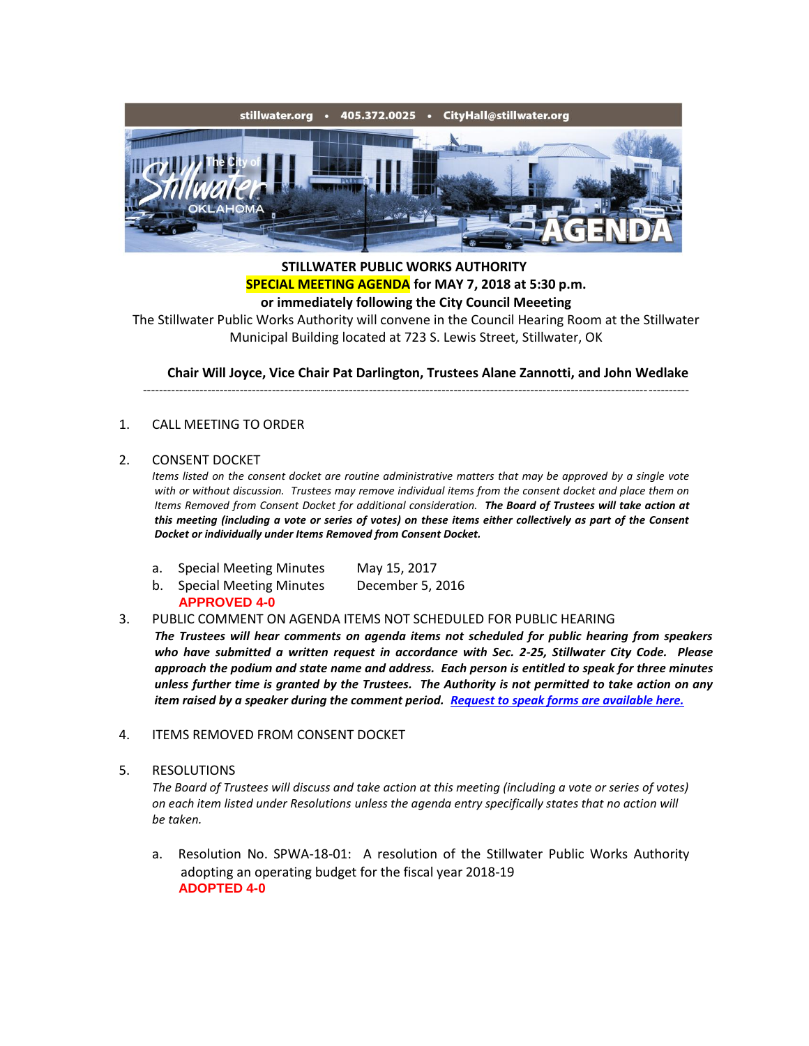

## **STILLWATER PUBLIC WORKS AUTHORITY SPECIAL MEETING AGENDA for MAY 7, 2018 at 5:30 p.m. or immediately following the City Council Meeeting**

The Stillwater Public Works Authority will convene in the Council Hearing Room at the Stillwater Municipal Building located at 723 S. Lewis Street, Stillwater, OK

**Chair Will Joyce, Vice Chair Pat Darlington, Trustees Alane Zannotti, and John Wedlake**

---------------------------------------------------------------------------------------------------------------------------------------

## 1. CALL MEETING TO ORDER

## 2. CONSENT DOCKET

*Items listed on the consent docket are routine administrative matters that may be approved by a single vote with or without discussion. Trustees may remove individual items from the consent docket and place them on Items Removed from Consent Docket for additional consideration. The Board of Trustees will take action at this meeting (including a vote or series of votes) on these items either collectively as part of the Consent Docket or individually under Items Removed from Consent Docket.*

- a. Special Meeting Minutes May 15, 2017
- b. Special Meeting Minutes December 5, 2016
- **APPROVED 4-0**

3. PUBLIC COMMENT ON AGENDA ITEMS NOT SCHEDULED FOR PUBLIC HEARING

*The Trustees will hear comments on agenda items not scheduled for public hearing from speakers who have submitted a written request in accordance with Sec. 2-25, Stillwater City Code. Please approach the podium and state name and address. Each person is entitled to speak for three minutes unless further time is granted by the Trustees. The Authority is not permitted to take action on any item raised by a speaker during the comment period. [Request to speak forms are available here.](http://stillwater.org/document/request_to_speak_at_city_council.php)*

- 4. ITEMS REMOVED FROM CONSENT DOCKET
- 5. RESOLUTIONS

*The Board of Trustees will discuss and take action at this meeting (including a vote or series of votes) on each item listed under Resolutions unless the agenda entry specifically states that no action will be taken.*

a. Resolution No. SPWA-18-01: A resolution of the Stillwater Public Works Authority adopting an operating budget for the fiscal year 2018-19 **ADOPTED 4-0**